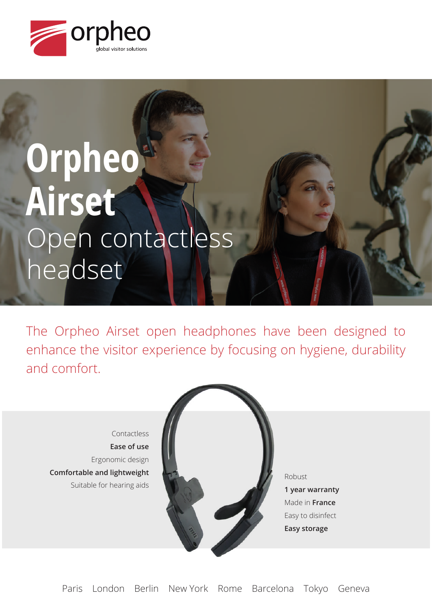

# **Orpheo Airset** Open contactless headset

The Orpheo Airset open headphones have been designed to enhance the visitor experience by focusing on hygiene, durability and comfort.

Contactless **Ease of use** Ergonomic design **Comfortable and lightweight** Suitable for hearing aids



Robust **1 year warranty** Made in **France** Easy to disinfect **Easy storage**